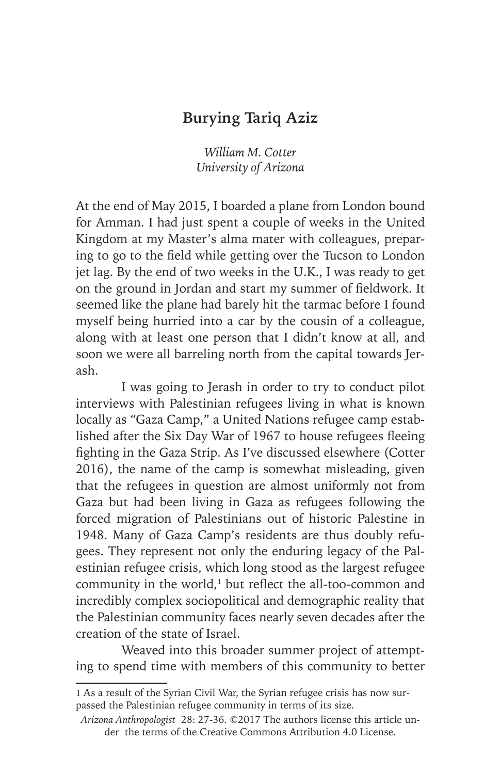## **Burying Tariq Aziz**

*William M. Cotter University of Arizona*

At the end of May 2015, I boarded a plane from London bound for Amman. I had just spent a couple of weeks in the United Kingdom at my Master's alma mater with colleagues, preparing to go to the field while getting over the Tucson to London jet lag. By the end of two weeks in the U.K., I was ready to get on the ground in Jordan and start my summer of fieldwork. It seemed like the plane had barely hit the tarmac before I found myself being hurried into a car by the cousin of a colleague, along with at least one person that I didn't know at all, and soon we were all barreling north from the capital towards Jerash.

I was going to Jerash in order to try to conduct pilot interviews with Palestinian refugees living in what is known locally as "Gaza Camp," a United Nations refugee camp established after the Six Day War of 1967 to house refugees fleeing fighting in the Gaza Strip. As I've discussed elsewhere (Cotter 2016), the name of the camp is somewhat misleading, given that the refugees in question are almost uniformly not from Gaza but had been living in Gaza as refugees following the forced migration of Palestinians out of historic Palestine in 1948. Many of Gaza Camp's residents are thus doubly refugees. They represent not only the enduring legacy of the Palestinian refugee crisis, which long stood as the largest refugee community in the world,<sup>1</sup> but reflect the all-too-common and incredibly complex sociopolitical and demographic reality that the Palestinian community faces nearly seven decades after the creation of the state of Israel.

Weaved into this broader summer project of attempting to spend time with members of this community to better

<sup>1</sup> As a result of the Syrian Civil War, the Syrian refugee crisis has now surpassed the Palestinian refugee community in terms of its size.

*Arizona Anthropologist* 28: 27-36. ©2017 The authors license this article under the terms of the Creative Commons Attribution 4.0 License.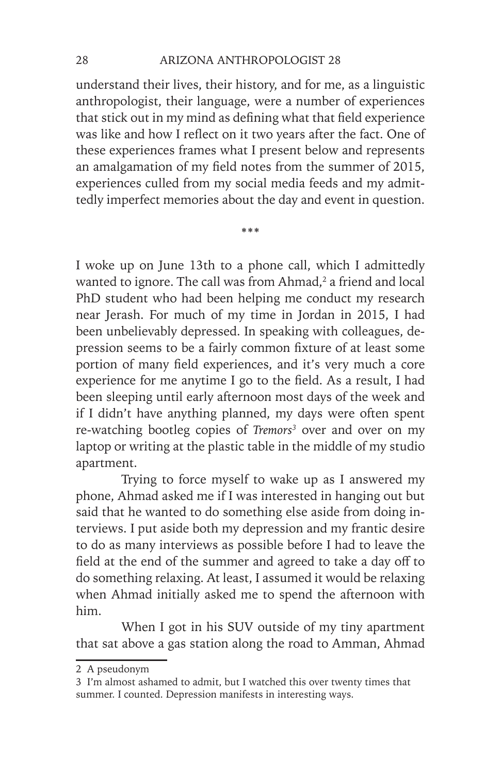understand their lives, their history, and for me, as a linguistic anthropologist, their language, were a number of experiences that stick out in my mind as defining what that field experience was like and how I reflect on it two years after the fact. One of these experiences frames what I present below and represents an amalgamation of my field notes from the summer of 2015, experiences culled from my social media feeds and my admittedly imperfect memories about the day and event in question.

**\*\*\***

I woke up on June 13th to a phone call, which I admittedly wanted to ignore. The call was from  $Ahmad<sub>r</sub><sup>2</sup>$  a friend and local PhD student who had been helping me conduct my research near Jerash. For much of my time in Jordan in 2015, I had been unbelievably depressed. In speaking with colleagues, depression seems to be a fairly common fixture of at least some portion of many field experiences, and it's very much a core experience for me anytime I go to the field. As a result, I had been sleeping until early afternoon most days of the week and if I didn't have anything planned, my days were often spent re-watching bootleg copies of *Tremors3* over and over on my laptop or writing at the plastic table in the middle of my studio apartment.

Trying to force myself to wake up as I answered my phone, Ahmad asked me if I was interested in hanging out but said that he wanted to do something else aside from doing interviews. I put aside both my depression and my frantic desire to do as many interviews as possible before I had to leave the field at the end of the summer and agreed to take a day off to do something relaxing. At least, I assumed it would be relaxing when Ahmad initially asked me to spend the afternoon with him.

When I got in his SUV outside of my tiny apartment that sat above a gas station along the road to Amman, Ahmad

<sup>2</sup> A pseudonym

<sup>3</sup> I'm almost ashamed to admit, but I watched this over twenty times that summer. I counted. Depression manifests in interesting ways.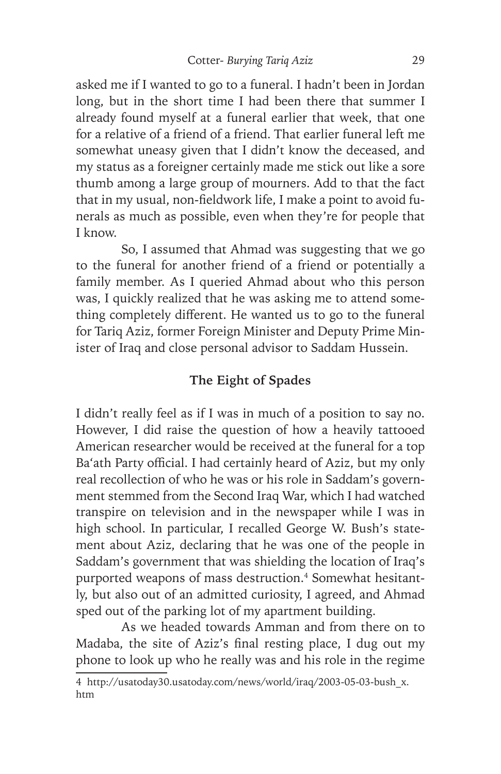asked me if I wanted to go to a funeral. I hadn't been in Jordan long, but in the short time I had been there that summer I already found myself at a funeral earlier that week, that one for a relative of a friend of a friend. That earlier funeral left me somewhat uneasy given that I didn't know the deceased, and my status as a foreigner certainly made me stick out like a sore thumb among a large group of mourners. Add to that the fact that in my usual, non-fieldwork life, I make a point to avoid funerals as much as possible, even when they're for people that I know.

So, I assumed that Ahmad was suggesting that we go to the funeral for another friend of a friend or potentially a family member. As I queried Ahmad about who this person was, I quickly realized that he was asking me to attend something completely different. He wanted us to go to the funeral for Tariq Aziz, former Foreign Minister and Deputy Prime Minister of Iraq and close personal advisor to Saddam Hussein.

### **The Eight of Spades**

I didn't really feel as if I was in much of a position to say no. However, I did raise the question of how a heavily tattooed American researcher would be received at the funeral for a top Ba'ath Party official. I had certainly heard of Aziz, but my only real recollection of who he was or his role in Saddam's government stemmed from the Second Iraq War, which I had watched transpire on television and in the newspaper while I was in high school. In particular, I recalled George W. Bush's statement about Aziz, declaring that he was one of the people in Saddam's government that was shielding the location of Iraq's purported weapons of mass destruction.<sup>4</sup> Somewhat hesitantly, but also out of an admitted curiosity, I agreed, and Ahmad sped out of the parking lot of my apartment building.

As we headed towards Amman and from there on to Madaba, the site of Aziz's final resting place, I dug out my phone to look up who he really was and his role in the regime

<sup>4</sup> http://usatoday30.usatoday.com/news/world/iraq/2003-05-03-bush\_x. htm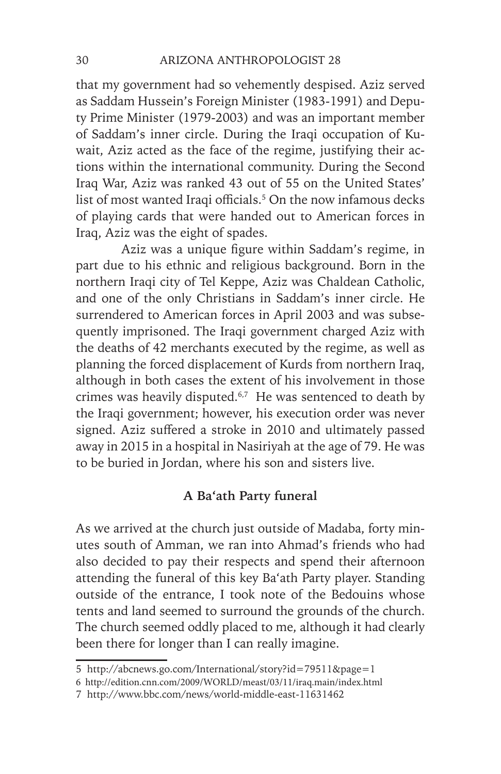that my government had so vehemently despised. Aziz served as Saddam Hussein's Foreign Minister (1983-1991) and Deputy Prime Minister (1979-2003) and was an important member of Saddam's inner circle. During the Iraqi occupation of Kuwait, Aziz acted as the face of the regime, justifying their actions within the international community. During the Second Iraq War, Aziz was ranked 43 out of 55 on the United States' list of most wanted Iraqi officials.<sup>5</sup> On the now infamous decks of playing cards that were handed out to American forces in Iraq, Aziz was the eight of spades.

Aziz was a unique figure within Saddam's regime, in part due to his ethnic and religious background. Born in the northern Iraqi city of Tel Keppe, Aziz was Chaldean Catholic, and one of the only Christians in Saddam's inner circle. He surrendered to American forces in April 2003 and was subsequently imprisoned. The Iraqi government charged Aziz with the deaths of 42 merchants executed by the regime, as well as planning the forced displacement of Kurds from northern Iraq, although in both cases the extent of his involvement in those crimes was heavily disputed.<sup>6,7</sup> He was sentenced to death by the Iraqi government; however, his execution order was never signed. Aziz suffered a stroke in 2010 and ultimately passed away in 2015 in a hospital in Nasiriyah at the age of 79. He was to be buried in Jordan, where his son and sisters live.

### **A Ba'ath Party funeral**

As we arrived at the church just outside of Madaba, forty minutes south of Amman, we ran into Ahmad's friends who had also decided to pay their respects and spend their afternoon attending the funeral of this key Ba'ath Party player. Standing outside of the entrance, I took note of the Bedouins whose tents and land seemed to surround the grounds of the church. The church seemed oddly placed to me, although it had clearly been there for longer than I can really imagine.

<sup>5</sup> http://abcnews.go.com/International/story?id=79511&page=1

<sup>6</sup> http://edition.cnn.com/2009/WORLD/meast/03/11/iraq.main/index.html

<sup>7</sup> http://www.bbc.com/news/world-middle-east-11631462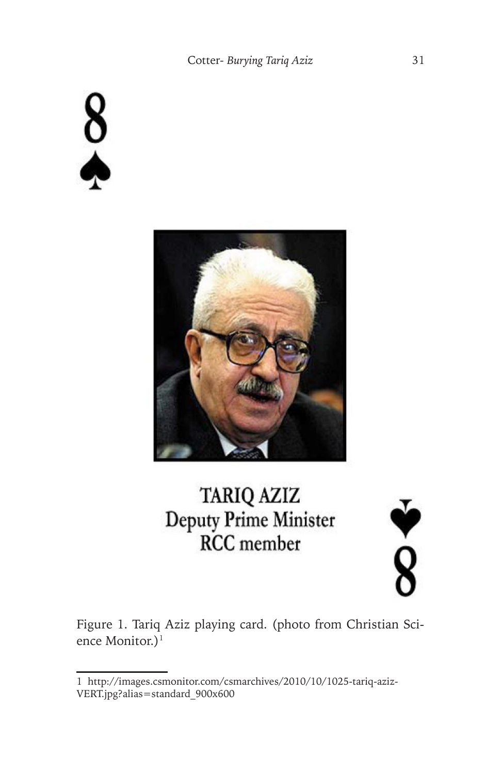$\frac{8}{4}$ 



# TARIQ AZIZ Deputy Prime Minister **RCC** member



Figure 1. Tariq Aziz playing card. (photo from Christian Science Monitor.)<sup>1</sup>

<sup>1</sup> http://images.csmonitor.com/csmarchives/2010/10/1025-tariq-aziz-VERT.jpg?alias=standard\_900x600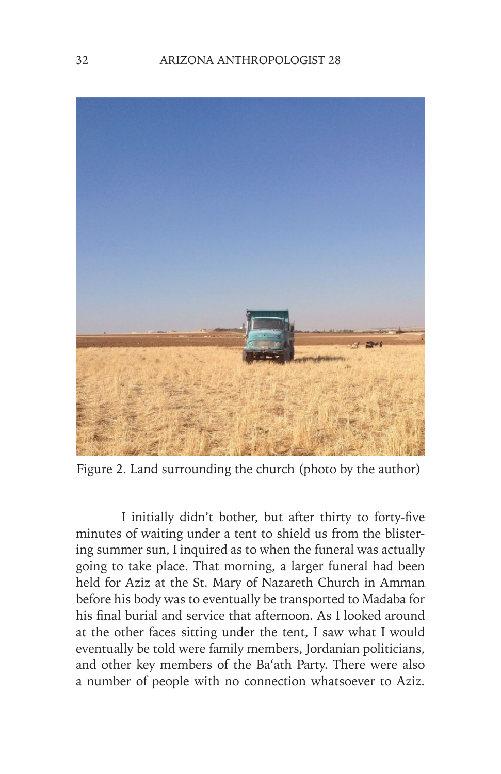

Figure 2. Land surrounding the church (photo by the author)

I initially didn't bother, but after thirty to forty-five minutes of waiting under a tent to shield us from the blistering summer sun, I inquired as to when the funeral was actually going to take place. That morning, a larger funeral had been held for Aziz at the St. Mary of Nazareth Church in Amman before his body was to eventually be transported to Madaba for his final burial and service that afternoon. As I looked around at the other faces sitting under the tent, I saw what I would eventually be told were family members, Jordanian politicians, and other key members of the Ba'ath Party. There were also a number of people with no connection whatsoever to Aziz.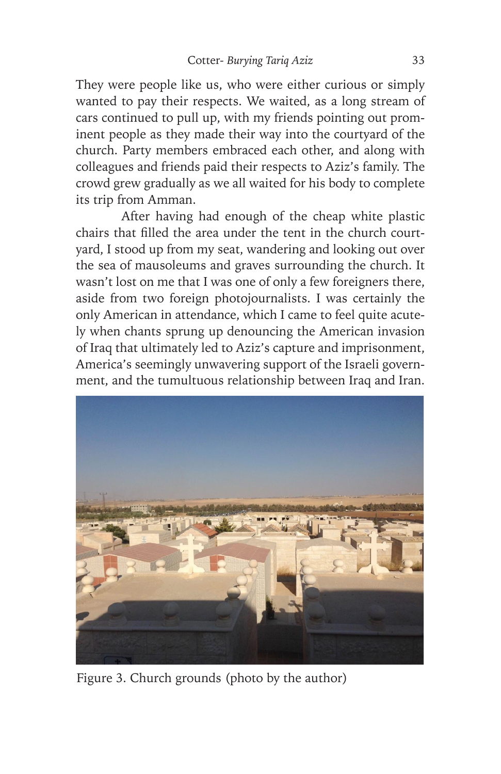They were people like us, who were either curious or simply wanted to pay their respects. We waited, as a long stream of cars continued to pull up, with my friends pointing out prominent people as they made their way into the courtyard of the church. Party members embraced each other, and along with colleagues and friends paid their respects to Aziz's family. The crowd grew gradually as we all waited for his body to complete its trip from Amman.

After having had enough of the cheap white plastic chairs that filled the area under the tent in the church courtyard, I stood up from my seat, wandering and looking out over the sea of mausoleums and graves surrounding the church. It wasn't lost on me that I was one of only a few foreigners there, aside from two foreign photojournalists. I was certainly the only American in attendance, which I came to feel quite acutely when chants sprung up denouncing the American invasion of Iraq that ultimately led to Aziz's capture and imprisonment, America's seemingly unwavering support of the Israeli government, and the tumultuous relationship between Iraq and Iran.



Figure 3. Church grounds (photo by the author)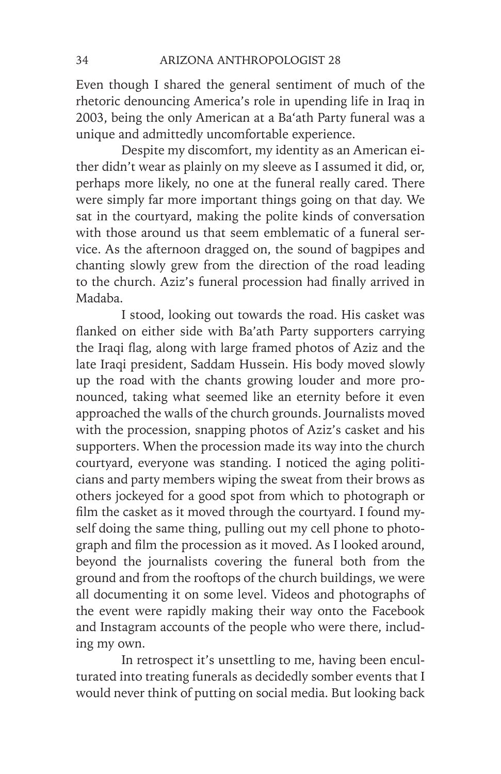Even though I shared the general sentiment of much of the rhetoric denouncing America's role in upending life in Iraq in 2003, being the only American at a Ba'ath Party funeral was a unique and admittedly uncomfortable experience.

Despite my discomfort, my identity as an American either didn't wear as plainly on my sleeve as I assumed it did, or, perhaps more likely, no one at the funeral really cared. There were simply far more important things going on that day. We sat in the courtyard, making the polite kinds of conversation with those around us that seem emblematic of a funeral service. As the afternoon dragged on, the sound of bagpipes and chanting slowly grew from the direction of the road leading to the church. Aziz's funeral procession had finally arrived in Madaba.

I stood, looking out towards the road. His casket was flanked on either side with Ba'ath Party supporters carrying the Iraqi flag, along with large framed photos of Aziz and the late Iraqi president, Saddam Hussein. His body moved slowly up the road with the chants growing louder and more pronounced, taking what seemed like an eternity before it even approached the walls of the church grounds. Journalists moved with the procession, snapping photos of Aziz's casket and his supporters. When the procession made its way into the church courtyard, everyone was standing. I noticed the aging politicians and party members wiping the sweat from their brows as others jockeyed for a good spot from which to photograph or film the casket as it moved through the courtyard. I found myself doing the same thing, pulling out my cell phone to photograph and film the procession as it moved. As I looked around, beyond the journalists covering the funeral both from the ground and from the rooftops of the church buildings, we were all documenting it on some level. Videos and photographs of the event were rapidly making their way onto the Facebook and Instagram accounts of the people who were there, including my own.

In retrospect it's unsettling to me, having been enculturated into treating funerals as decidedly somber events that I would never think of putting on social media. But looking back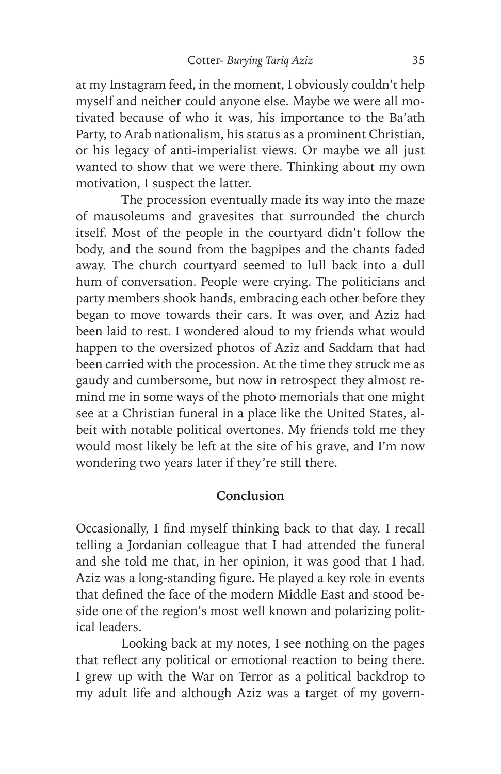at my Instagram feed, in the moment, I obviously couldn't help myself and neither could anyone else. Maybe we were all motivated because of who it was, his importance to the Ba'ath Party, to Arab nationalism, his status as a prominent Christian, or his legacy of anti-imperialist views. Or maybe we all just wanted to show that we were there. Thinking about my own motivation, I suspect the latter.

The procession eventually made its way into the maze of mausoleums and gravesites that surrounded the church itself. Most of the people in the courtyard didn't follow the body, and the sound from the bagpipes and the chants faded away. The church courtyard seemed to lull back into a dull hum of conversation. People were crying. The politicians and party members shook hands, embracing each other before they began to move towards their cars. It was over, and Aziz had been laid to rest. I wondered aloud to my friends what would happen to the oversized photos of Aziz and Saddam that had been carried with the procession. At the time they struck me as gaudy and cumbersome, but now in retrospect they almost remind me in some ways of the photo memorials that one might see at a Christian funeral in a place like the United States, albeit with notable political overtones. My friends told me they would most likely be left at the site of his grave, and I'm now wondering two years later if they're still there.

#### **Conclusion**

Occasionally, I find myself thinking back to that day. I recall telling a Jordanian colleague that I had attended the funeral and she told me that, in her opinion, it was good that I had. Aziz was a long-standing figure. He played a key role in events that defined the face of the modern Middle East and stood beside one of the region's most well known and polarizing political leaders.

Looking back at my notes, I see nothing on the pages that reflect any political or emotional reaction to being there. I grew up with the War on Terror as a political backdrop to my adult life and although Aziz was a target of my govern